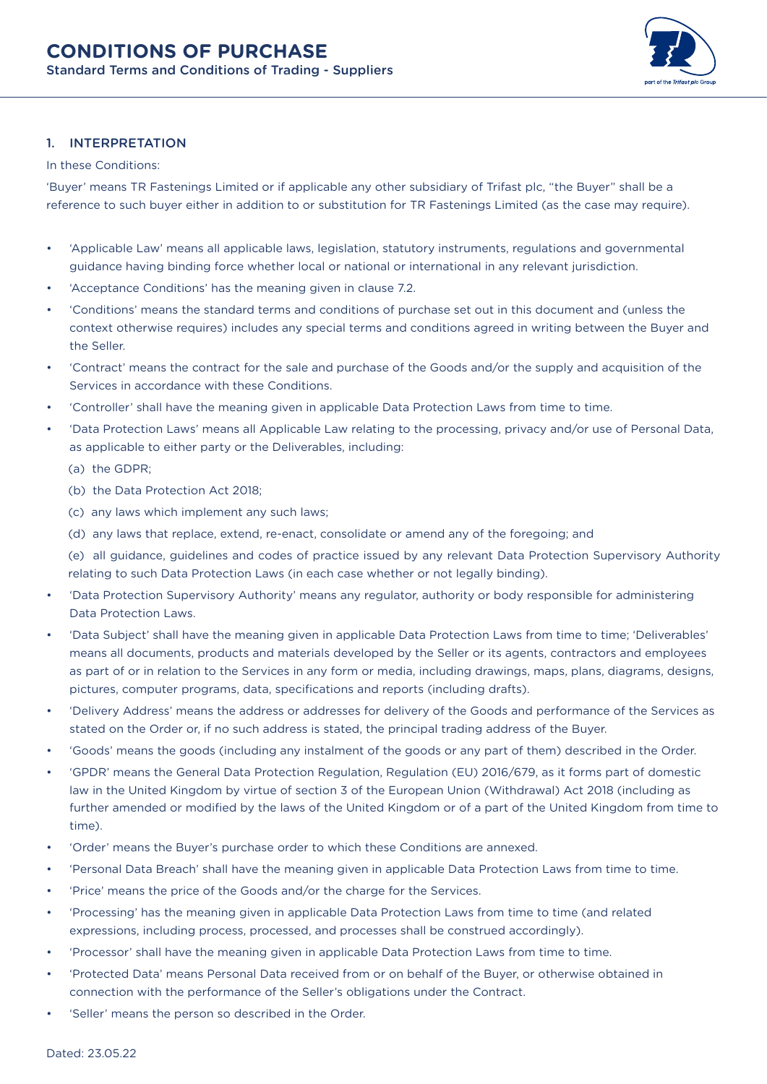

#### 1. INTERPRETATION

#### In these Conditions:

'Buyer' means TR Fastenings Limited or if applicable any other subsidiary of Trifast plc, "the Buyer" shall be a reference to such buyer either in addition to or substitution for TR Fastenings Limited (as the case may require).

- 'Applicable Law' means all applicable laws, legislation, statutory instruments, regulations and governmental guidance having binding force whether local or national or international in any relevant jurisdiction.
- 'Acceptance Conditions' has the meaning given in clause 7.2.
- 'Conditions' means the standard terms and conditions of purchase set out in this document and (unless the context otherwise requires) includes any special terms and conditions agreed in writing between the Buyer and the Seller.
- 'Contract' means the contract for the sale and purchase of the Goods and/or the supply and acquisition of the Services in accordance with these Conditions.
- 'Controller' shall have the meaning given in applicable Data Protection Laws from time to time.
- 'Data Protection Laws' means all Applicable Law relating to the processing, privacy and/or use of Personal Data, as applicable to either party or the Deliverables, including:
	- (a) the GDPR;
	- (b) the Data Protection Act 2018;
	- (c) any laws which implement any such laws;
	- (d) any laws that replace, extend, re-enact, consolidate or amend any of the foregoing; and

(e) all guidance, guidelines and codes of practice issued by any relevant Data Protection Supervisory Authority relating to such Data Protection Laws (in each case whether or not legally binding).

- 'Data Protection Supervisory Authority' means any regulator, authority or body responsible for administering Data Protection Laws.
- 'Data Subject' shall have the meaning given in applicable Data Protection Laws from time to time; 'Deliverables' means all documents, products and materials developed by the Seller or its agents, contractors and employees as part of or in relation to the Services in any form or media, including drawings, maps, plans, diagrams, designs, pictures, computer programs, data, specifications and reports (including drafts).
- 'Delivery Address' means the address or addresses for delivery of the Goods and performance of the Services as stated on the Order or, if no such address is stated, the principal trading address of the Buyer.
- 'Goods' means the goods (including any instalment of the goods or any part of them) described in the Order.
- 'GPDR' means the General Data Protection Regulation, Regulation (EU) 2016/679, as it forms part of domestic law in the United Kingdom by virtue of section 3 of the European Union (Withdrawal) Act 2018 (including as further amended or modified by the laws of the United Kingdom or of a part of the United Kingdom from time to time).
- 'Order' means the Buyer's purchase order to which these Conditions are annexed.
- 'Personal Data Breach' shall have the meaning given in applicable Data Protection Laws from time to time.
- 'Price' means the price of the Goods and/or the charge for the Services.
- 'Processing' has the meaning given in applicable Data Protection Laws from time to time (and related expressions, including process, processed, and processes shall be construed accordingly).
- 'Processor' shall have the meaning given in applicable Data Protection Laws from time to time.
- 'Protected Data' means Personal Data received from or on behalf of the Buyer, or otherwise obtained in connection with the performance of the Seller's obligations under the Contract.
- 'Seller' means the person so described in the Order.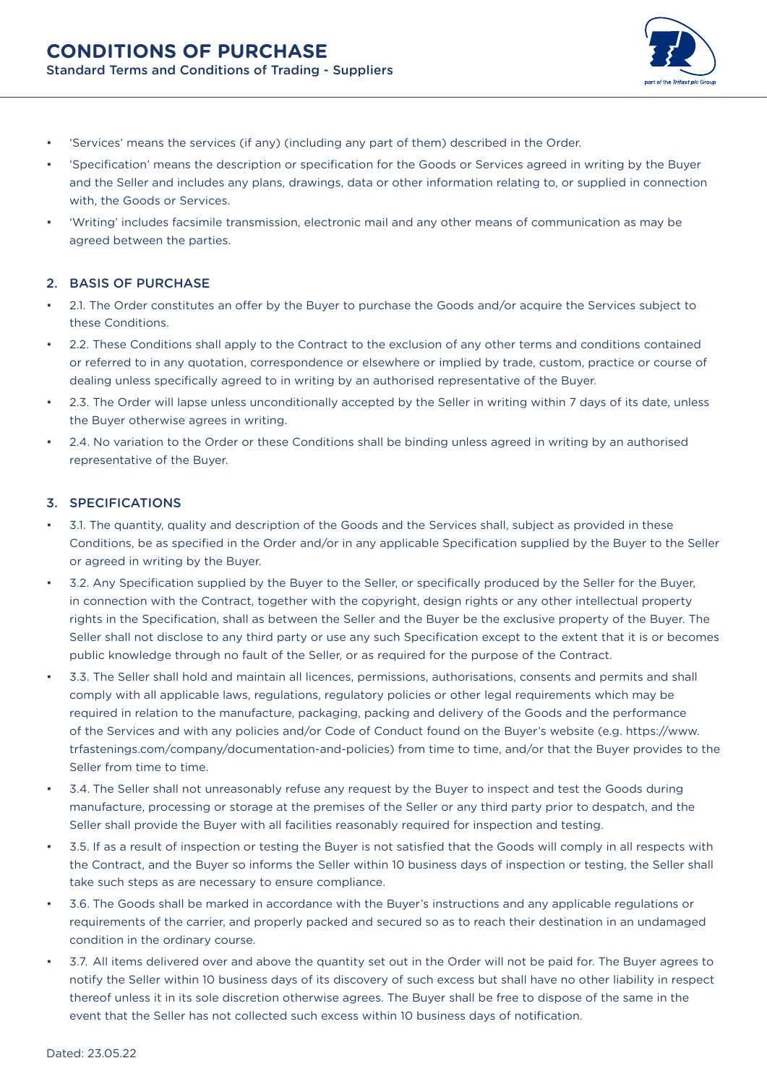

- 'Services' means the services (if any) (including any part of them) described in the Order.
- 'Specification' means the description or specification for the Goods or Services agreed in writing by the Buyer and the Seller and includes any plans, drawings, data or other information relating to, or supplied in connection with, the Goods or Services.
- 'Writing' includes facsimile transmission, electronic mail and any other means of communication as may be agreed between the parties.

## 2. BASIS OF PURCHASE

- 2.1. The Order constitutes an offer by the Buyer to purchase the Goods and/or acquire the Services subject to these Conditions.
- 2.2. These Conditions shall apply to the Contract to the exclusion of any other terms and conditions contained or referred to in any quotation, correspondence or elsewhere or implied by trade, custom, practice or course of dealing unless specifically agreed to in writing by an authorised representative of the Buyer.
- 2.3. The Order will lapse unless unconditionally accepted by the Seller in writing within 7 days of its date, unless the Buyer otherwise agrees in writing.
- 2.4. No variation to the Order or these Conditions shall be binding unless agreed in writing by an authorised representative of the Buyer.

#### 3. SPECIFICATIONS

- 3.1. The quantity, quality and description of the Goods and the Services shall, subject as provided in these Conditions, be as specified in the Order and/or in any applicable Specification supplied by the Buyer to the Seller or agreed in writing by the Buyer.
- 3.2. Any Specification supplied by the Buyer to the Seller, or specifically produced by the Seller for the Buyer, in connection with the Contract, together with the copyright, design rights or any other intellectual property rights in the Specification, shall as between the Seller and the Buyer be the exclusive property of the Buyer. The Seller shall not disclose to any third party or use any such Specification except to the extent that it is or becomes public knowledge through no fault of the Seller, or as required for the purpose of the Contract.
- 3.3. The Seller shall hold and maintain all licences, permissions, authorisations, consents and permits and shall comply with all applicable laws, regulations, regulatory policies or other legal requirements which may be required in relation to the manufacture, packaging, packing and delivery of the Goods and the performance of the Services and with any policies and/or Code of Conduct found on the Buyer's website (e.g. https://www. trfastenings.com/company/documentation-and-policies) from time to time, and/or that the Buyer provides to the Seller from time to time.
- 3.4. The Seller shall not unreasonably refuse any request by the Buyer to inspect and test the Goods during manufacture, processing or storage at the premises of the Seller or any third party prior to despatch, and the Seller shall provide the Buyer with all facilities reasonably required for inspection and testing.
- 3.5. If as a result of inspection or testing the Buyer is not satisfied that the Goods will comply in all respects with the Contract, and the Buyer so informs the Seller within 10 business days of inspection or testing, the Seller shall take such steps as are necessary to ensure compliance.
- 3.6. The Goods shall be marked in accordance with the Buyer's instructions and any applicable regulations or requirements of the carrier, and properly packed and secured so as to reach their destination in an undamaged condition in the ordinary course.
- 3.7. All items delivered over and above the quantity set out in the Order will not be paid for. The Buyer agrees to notify the Seller within 10 business days of its discovery of such excess but shall have no other liability in respect thereof unless it in its sole discretion otherwise agrees. The Buyer shall be free to dispose of the same in the event that the Seller has not collected such excess within 10 business days of notification.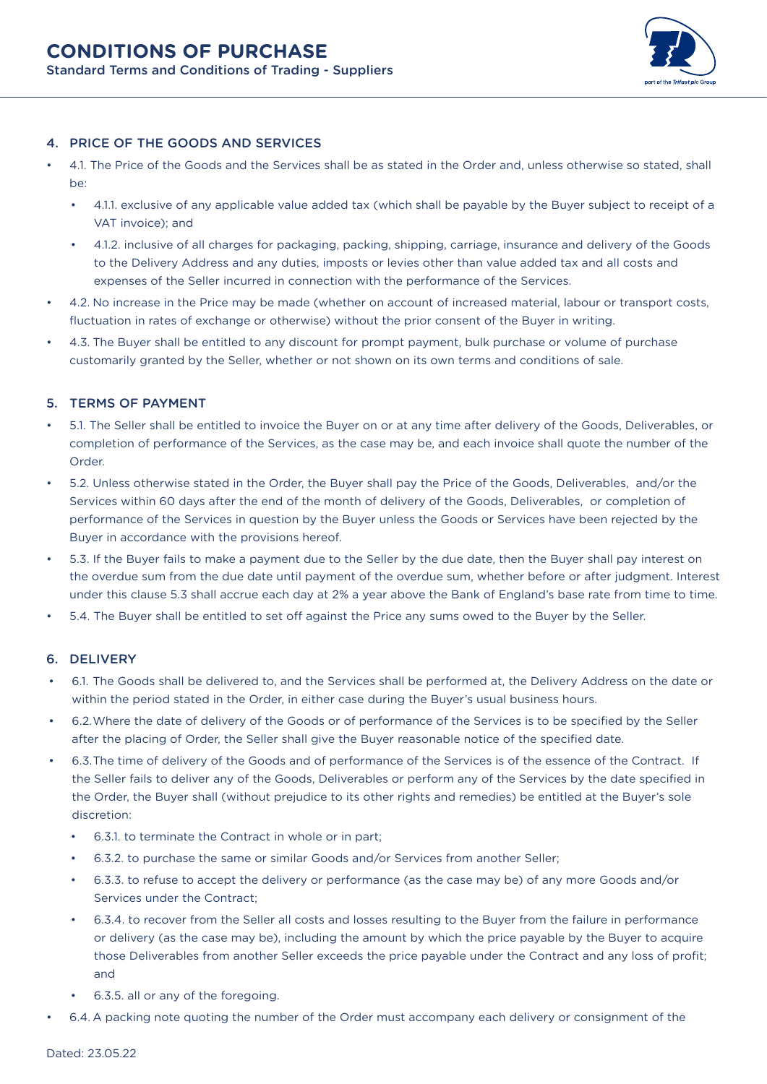

# 4. PRICE OF THE GOODS AND SERVICES

- 4.1. The Price of the Goods and the Services shall be as stated in the Order and, unless otherwise so stated, shall be:
	- 4.1.1. exclusive of any applicable value added tax (which shall be payable by the Buyer subject to receipt of a VAT invoice); and
	- 4.1.2. inclusive of all charges for packaging, packing, shipping, carriage, insurance and delivery of the Goods to the Delivery Address and any duties, imposts or levies other than value added tax and all costs and expenses of the Seller incurred in connection with the performance of the Services.
- 4.2. No increase in the Price may be made (whether on account of increased material, labour or transport costs, fluctuation in rates of exchange or otherwise) without the prior consent of the Buyer in writing.
- 4.3. The Buyer shall be entitled to any discount for prompt payment, bulk purchase or volume of purchase customarily granted by the Seller, whether or not shown on its own terms and conditions of sale.

## 5. TERMS OF PAYMENT

- 5.1. The Seller shall be entitled to invoice the Buyer on or at any time after delivery of the Goods, Deliverables, or completion of performance of the Services, as the case may be, and each invoice shall quote the number of the Order.
- 5.2. Unless otherwise stated in the Order, the Buyer shall pay the Price of the Goods, Deliverables, and/or the Services within 60 days after the end of the month of delivery of the Goods, Deliverables, or completion of performance of the Services in question by the Buyer unless the Goods or Services have been rejected by the Buyer in accordance with the provisions hereof.
- 5.3. If the Buyer fails to make a payment due to the Seller by the due date, then the Buyer shall pay interest on the overdue sum from the due date until payment of the overdue sum, whether before or after judgment. Interest under this clause 5.3 shall accrue each day at 2% a year above the Bank of England's base rate from time to time.
- 5.4. The Buyer shall be entitled to set off against the Price any sums owed to the Buyer by the Seller.

## 6. DELIVERY

- 6.1. The Goods shall be delivered to, and the Services shall be performed at, the Delivery Address on the date or within the period stated in the Order, in either case during the Buyer's usual business hours.
- 6.2.Where the date of delivery of the Goods or of performance of the Services is to be specified by the Seller after the placing of Order, the Seller shall give the Buyer reasonable notice of the specified date.
- 6.3.The time of delivery of the Goods and of performance of the Services is of the essence of the Contract. If the Seller fails to deliver any of the Goods, Deliverables or perform any of the Services by the date specified in the Order, the Buyer shall (without prejudice to its other rights and remedies) be entitled at the Buyer's sole discretion:
	- 6.3.1. to terminate the Contract in whole or in part;
	- 6.3.2. to purchase the same or similar Goods and/or Services from another Seller;
	- 6.3.3. to refuse to accept the delivery or performance (as the case may be) of any more Goods and/or Services under the Contract;
	- 6.3.4. to recover from the Seller all costs and losses resulting to the Buyer from the failure in performance or delivery (as the case may be), including the amount by which the price payable by the Buyer to acquire those Deliverables from another Seller exceeds the price payable under the Contract and any loss of profit; and
	- 6.3.5. all or any of the foregoing.
- 6.4. A packing note quoting the number of the Order must accompany each delivery or consignment of the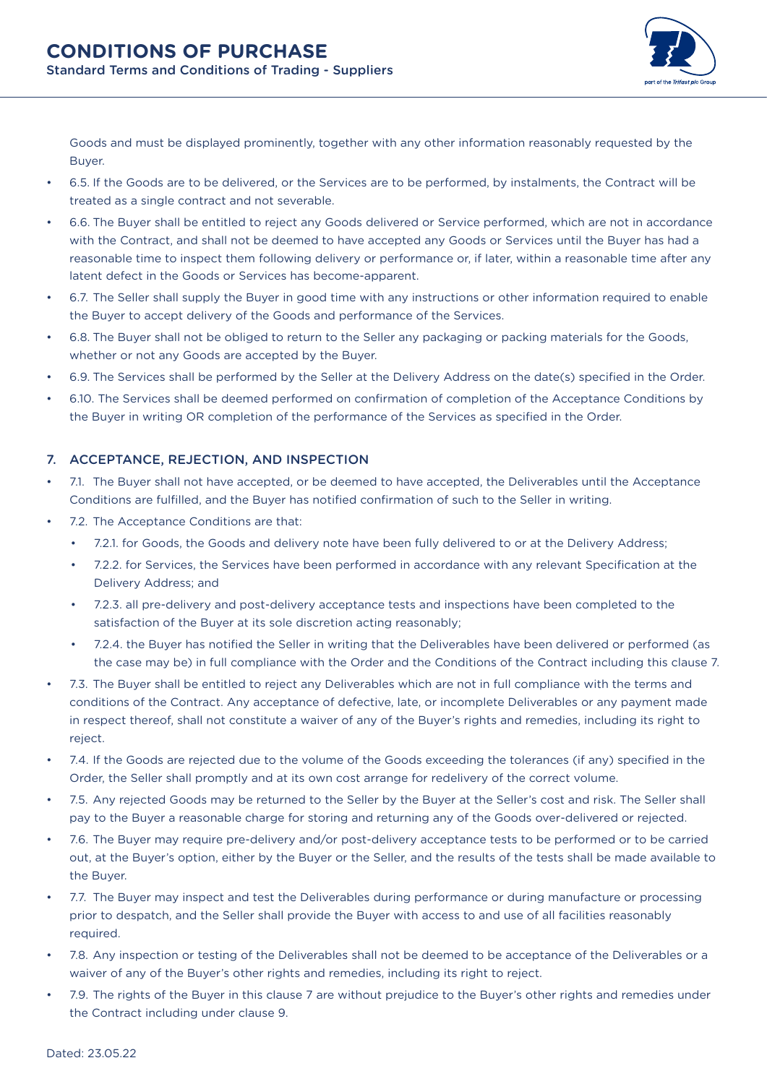

Goods and must be displayed prominently, together with any other information reasonably requested by the Buyer.

- 6.5. If the Goods are to be delivered, or the Services are to be performed, by instalments, the Contract will be treated as a single contract and not severable.
- 6.6. The Buyer shall be entitled to reject any Goods delivered or Service performed, which are not in accordance with the Contract, and shall not be deemed to have accepted any Goods or Services until the Buyer has had a reasonable time to inspect them following delivery or performance or, if later, within a reasonable time after any latent defect in the Goods or Services has become-apparent.
- 6.7. The Seller shall supply the Buyer in good time with any instructions or other information required to enable the Buyer to accept delivery of the Goods and performance of the Services.
- 6.8. The Buyer shall not be obliged to return to the Seller any packaging or packing materials for the Goods, whether or not any Goods are accepted by the Buyer.
- 6.9. The Services shall be performed by the Seller at the Delivery Address on the date(s) specified in the Order.
- 6.10. The Services shall be deemed performed on confirmation of completion of the Acceptance Conditions by the Buyer in writing OR completion of the performance of the Services as specified in the Order.

## 7. ACCEPTANCE, REJECTION, AND INSPECTION

- 7.1. The Buyer shall not have accepted, or be deemed to have accepted, the Deliverables until the Acceptance Conditions are fulfilled, and the Buyer has notified confirmation of such to the Seller in writing.
- 7.2. The Acceptance Conditions are that:
	- 7.2.1. for Goods, the Goods and delivery note have been fully delivered to or at the Delivery Address;
	- 7.2.2. for Services, the Services have been performed in accordance with any relevant Specification at the Delivery Address; and
	- 7.2.3. all pre-delivery and post-delivery acceptance tests and inspections have been completed to the satisfaction of the Buyer at its sole discretion acting reasonably;
	- 7.2.4. the Buyer has notified the Seller in writing that the Deliverables have been delivered or performed (as the case may be) in full compliance with the Order and the Conditions of the Contract including this clause 7.
- 7.3. The Buyer shall be entitled to reject any Deliverables which are not in full compliance with the terms and conditions of the Contract. Any acceptance of defective, late, or incomplete Deliverables or any payment made in respect thereof, shall not constitute a waiver of any of the Buyer's rights and remedies, including its right to reject.
- 7.4. If the Goods are rejected due to the volume of the Goods exceeding the tolerances (if any) specified in the Order, the Seller shall promptly and at its own cost arrange for redelivery of the correct volume.
- 7.5. Any rejected Goods may be returned to the Seller by the Buyer at the Seller's cost and risk. The Seller shall pay to the Buyer a reasonable charge for storing and returning any of the Goods over-delivered or rejected.
- 7.6. The Buyer may require pre-delivery and/or post-delivery acceptance tests to be performed or to be carried out, at the Buyer's option, either by the Buyer or the Seller, and the results of the tests shall be made available to the Buyer.
- 7.7. The Buyer may inspect and test the Deliverables during performance or during manufacture or processing prior to despatch, and the Seller shall provide the Buyer with access to and use of all facilities reasonably required.
- 7.8. Any inspection or testing of the Deliverables shall not be deemed to be acceptance of the Deliverables or a waiver of any of the Buyer's other rights and remedies, including its right to reject.
- 7.9. The rights of the Buyer in this clause 7 are without prejudice to the Buyer's other rights and remedies under the Contract including under clause 9.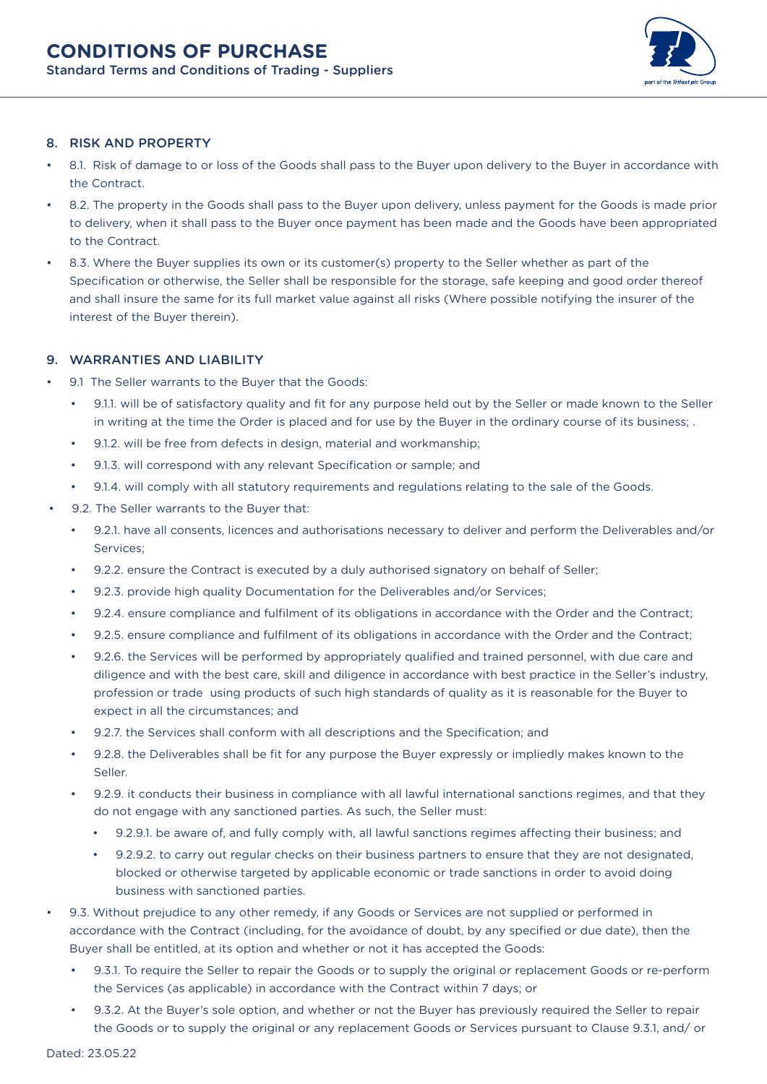

## 8. RISK AND PROPERTY

- 8.1. Risk of damage to or loss of the Goods shall pass to the Buyer upon delivery to the Buyer in accordance with the Contract.
- 8.2. The property in the Goods shall pass to the Buyer upon delivery, unless payment for the Goods is made prior to delivery, when it shall pass to the Buyer once payment has been made and the Goods have been appropriated to the Contract.
- 8.3. Where the Buyer supplies its own or its customer(s) property to the Seller whether as part of the Specification or otherwise, the Seller shall be responsible for the storage, safe keeping and good order thereof and shall insure the same for its full market value against all risks (Where possible notifying the insurer of the interest of the Buyer therein).

# 9. WARRANTIES AND LIABILITY

- 9.1 The Seller warrants to the Buyer that the Goods:
	- 9.1.1. will be of satisfactory quality and fit for any purpose held out by the Seller or made known to the Seller in writing at the time the Order is placed and for use by the Buyer in the ordinary course of its business; .
	- 9.1.2. will be free from defects in design, material and workmanship;
	- 9.1.3. will correspond with any relevant Specification or sample; and
	- 9.1.4. will comply with all statutory requirements and regulations relating to the sale of the Goods.
- 9.2. The Seller warrants to the Buyer that:
	- 9.2.1. have all consents, licences and authorisations necessary to deliver and perform the Deliverables and/or Services;
	- 9.2.2. ensure the Contract is executed by a duly authorised signatory on behalf of Seller;
	- 9.2.3. provide high quality Documentation for the Deliverables and/or Services;
	- 9.2.4. ensure compliance and fulfilment of its obligations in accordance with the Order and the Contract;
	- 9.2.5. ensure compliance and fulfilment of its obligations in accordance with the Order and the Contract;
	- 9.2.6. the Services will be performed by appropriately qualified and trained personnel, with due care and diligence and with the best care, skill and diligence in accordance with best practice in the Seller's industry, profession or trade using products of such high standards of quality as it is reasonable for the Buyer to expect in all the circumstances; and
	- 9.2.7. the Services shall conform with all descriptions and the Specification; and
	- 9.2.8. the Deliverables shall be fit for any purpose the Buyer expressly or impliedly makes known to the Seller.
	- 9.2.9. it conducts their business in compliance with all lawful international sanctions regimes, and that they do not engage with any sanctioned parties. As such, the Seller must:
		- 9.2.9.1. be aware of, and fully comply with, all lawful sanctions regimes affecting their business; and
		- 9.2.9.2. to carry out regular checks on their business partners to ensure that they are not designated, blocked or otherwise targeted by applicable economic or trade sanctions in order to avoid doing business with sanctioned parties.
- 9.3. Without prejudice to any other remedy, if any Goods or Services are not supplied or performed in accordance with the Contract (including, for the avoidance of doubt, by any specified or due date), then the Buyer shall be entitled, at its option and whether or not it has accepted the Goods:
	- 9.3.1. To require the Seller to repair the Goods or to supply the original or replacement Goods or re-perform the Services (as applicable) in accordance with the Contract within 7 days; or
	- 9.3.2. At the Buyer's sole option, and whether or not the Buyer has previously required the Seller to repair the Goods or to supply the original or any replacement Goods or Services pursuant to Clause 9.3.1, and/ or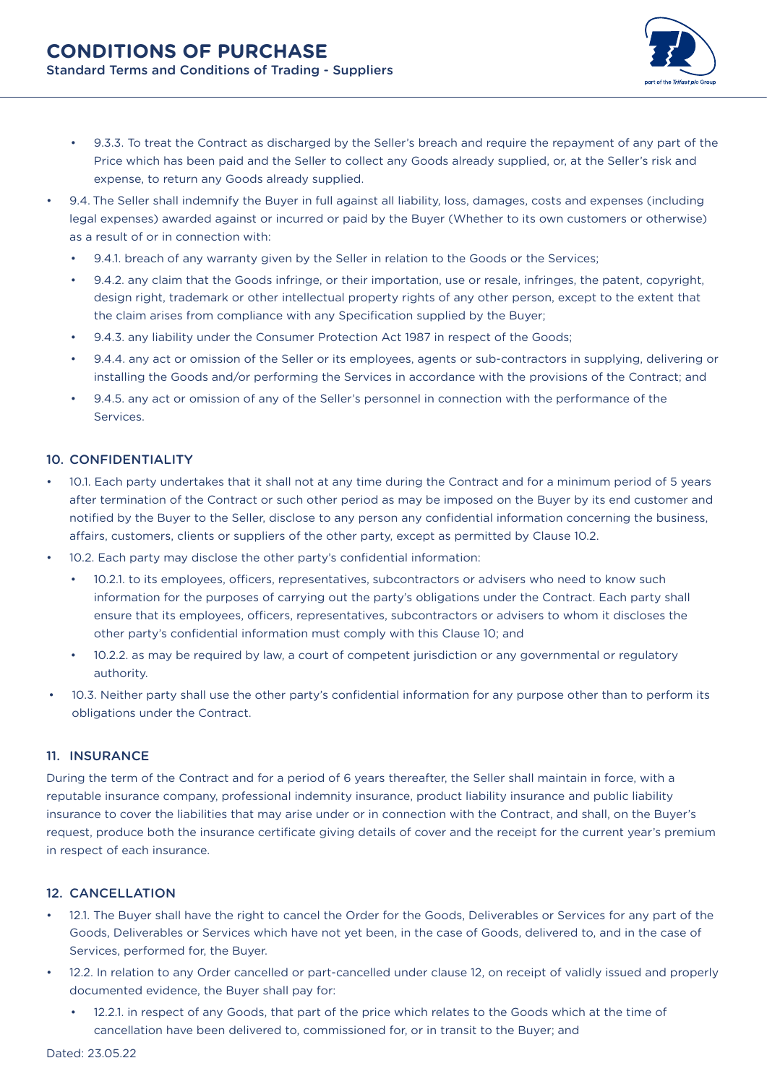

- 9.3.3. To treat the Contract as discharged by the Seller's breach and require the repayment of any part of the Price which has been paid and the Seller to collect any Goods already supplied, or, at the Seller's risk and expense, to return any Goods already supplied.
- 9.4. The Seller shall indemnify the Buyer in full against all liability, loss, damages, costs and expenses (including legal expenses) awarded against or incurred or paid by the Buyer (Whether to its own customers or otherwise) as a result of or in connection with:
	- 9.4.1. breach of any warranty given by the Seller in relation to the Goods or the Services;
	- 9.4.2. any claim that the Goods infringe, or their importation, use or resale, infringes, the patent, copyright, design right, trademark or other intellectual property rights of any other person, except to the extent that the claim arises from compliance with any Specification supplied by the Buyer;
	- 9.4.3. any liability under the Consumer Protection Act 1987 in respect of the Goods;
	- 9.4.4. any act or omission of the Seller or its employees, agents or sub-contractors in supplying, delivering or installing the Goods and/or performing the Services in accordance with the provisions of the Contract; and
	- 9.4.5. any act or omission of any of the Seller's personnel in connection with the performance of the Services.

## 10. CONFIDENTIALITY

- 10.1. Each party undertakes that it shall not at any time during the Contract and for a minimum period of 5 years after termination of the Contract or such other period as may be imposed on the Buyer by its end customer and notified by the Buyer to the Seller, disclose to any person any confidential information concerning the business, affairs, customers, clients or suppliers of the other party, except as permitted by Clause 10.2.
- 10.2. Each party may disclose the other party's confidential information:
	- 10.2.1. to its employees, officers, representatives, subcontractors or advisers who need to know such information for the purposes of carrying out the party's obligations under the Contract. Each party shall ensure that its employees, officers, representatives, subcontractors or advisers to whom it discloses the other party's confidential information must comply with this Clause 10; and
	- 10.2.2. as may be required by law, a court of competent jurisdiction or any governmental or regulatory authority.
- 10.3. Neither party shall use the other party's confidential information for any purpose other than to perform its obligations under the Contract.

#### 11. INSURANCE

During the term of the Contract and for a period of 6 years thereafter, the Seller shall maintain in force, with a reputable insurance company, professional indemnity insurance, product liability insurance and public liability insurance to cover the liabilities that may arise under or in connection with the Contract, and shall, on the Buyer's request, produce both the insurance certificate giving details of cover and the receipt for the current year's premium in respect of each insurance.

### 12. CANCELLATION

- 12.1. The Buyer shall have the right to cancel the Order for the Goods, Deliverables or Services for any part of the Goods, Deliverables or Services which have not yet been, in the case of Goods, delivered to, and in the case of Services, performed for, the Buyer.
- 12.2. In relation to any Order cancelled or part-cancelled under clause 12, on receipt of validly issued and properly documented evidence, the Buyer shall pay for:
	- 12.2.1. in respect of any Goods, that part of the price which relates to the Goods which at the time of cancellation have been delivered to, commissioned for, or in transit to the Buyer; and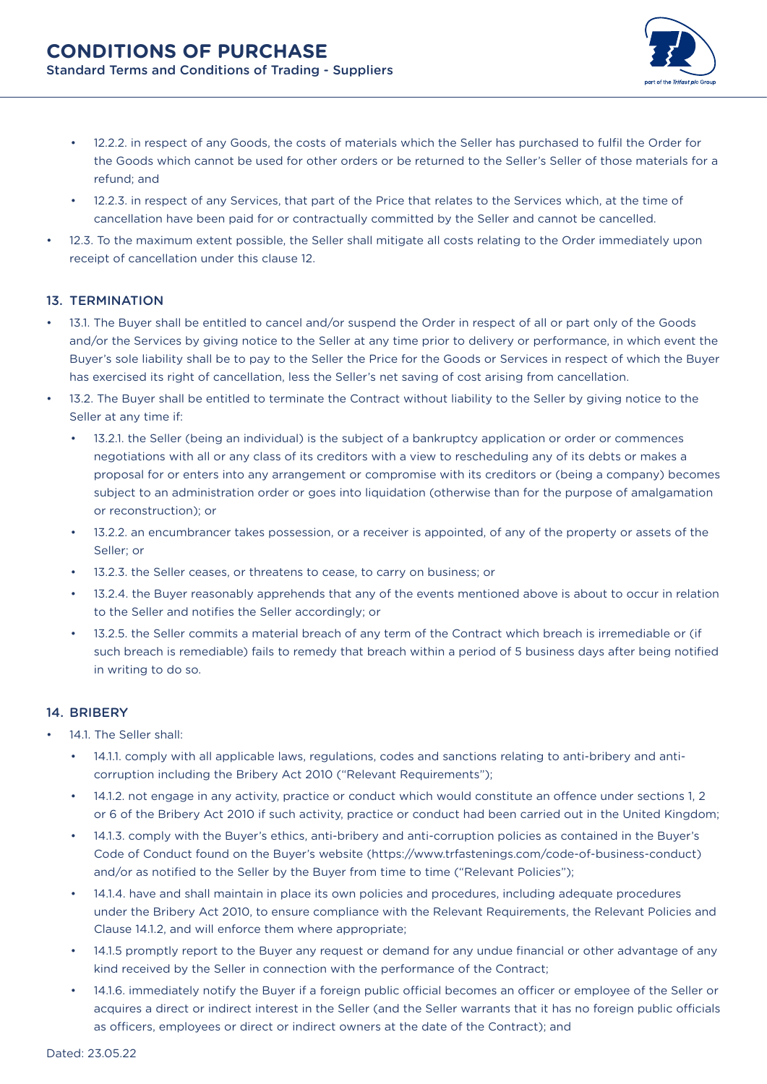

- 12.2.2. in respect of any Goods, the costs of materials which the Seller has purchased to fulfil the Order for the Goods which cannot be used for other orders or be returned to the Seller's Seller of those materials for a refund; and
- 12.2.3. in respect of any Services, that part of the Price that relates to the Services which, at the time of cancellation have been paid for or contractually committed by the Seller and cannot be cancelled.
- 12.3. To the maximum extent possible, the Seller shall mitigate all costs relating to the Order immediately upon receipt of cancellation under this clause 12.

## 13. TERMINATION

- 13.1. The Buyer shall be entitled to cancel and/or suspend the Order in respect of all or part only of the Goods and/or the Services by giving notice to the Seller at any time prior to delivery or performance, in which event the Buyer's sole liability shall be to pay to the Seller the Price for the Goods or Services in respect of which the Buyer has exercised its right of cancellation, less the Seller's net saving of cost arising from cancellation.
- 13.2. The Buyer shall be entitled to terminate the Contract without liability to the Seller by giving notice to the Seller at any time if:
	- 13.2.1. the Seller (being an individual) is the subject of a bankruptcy application or order or commences negotiations with all or any class of its creditors with a view to rescheduling any of its debts or makes a proposal for or enters into any arrangement or compromise with its creditors or (being a company) becomes subject to an administration order or goes into liquidation (otherwise than for the purpose of amalgamation or reconstruction); or
	- 13.2.2. an encumbrancer takes possession, or a receiver is appointed, of any of the property or assets of the Seller; or
	- 13.2.3. the Seller ceases, or threatens to cease, to carry on business; or
	- 13.2.4. the Buyer reasonably apprehends that any of the events mentioned above is about to occur in relation to the Seller and notifies the Seller accordingly; or
	- 13.2.5. the Seller commits a material breach of any term of the Contract which breach is irremediable or (if such breach is remediable) fails to remedy that breach within a period of 5 business days after being notified in writing to do so.

## 14. BRIBERY

- 14.1. The Seller shall:
	- 14.1.1. comply with all applicable laws, regulations, codes and sanctions relating to anti-bribery and anticorruption including the Bribery Act 2010 ("Relevant Requirements");
	- 14.1.2. not engage in any activity, practice or conduct which would constitute an offence under sections 1, 2 or 6 of the Bribery Act 2010 if such activity, practice or conduct had been carried out in the United Kingdom;
	- 14.1.3. comply with the Buyer's ethics, anti-bribery and anti-corruption policies as contained in the Buyer's Code of Conduct found on the Buyer's website (https://www.trfastenings.com/code-of-business-conduct) and/or as notified to the Seller by the Buyer from time to time ("Relevant Policies");
	- 14.1.4. have and shall maintain in place its own policies and procedures, including adequate procedures under the Bribery Act 2010, to ensure compliance with the Relevant Requirements, the Relevant Policies and Clause 14.1.2, and will enforce them where appropriate;
	- 14.1.5 promptly report to the Buyer any request or demand for any undue financial or other advantage of any kind received by the Seller in connection with the performance of the Contract;
	- 14.1.6. immediately notify the Buyer if a foreign public official becomes an officer or employee of the Seller or acquires a direct or indirect interest in the Seller (and the Seller warrants that it has no foreign public officials as officers, employees or direct or indirect owners at the date of the Contract); and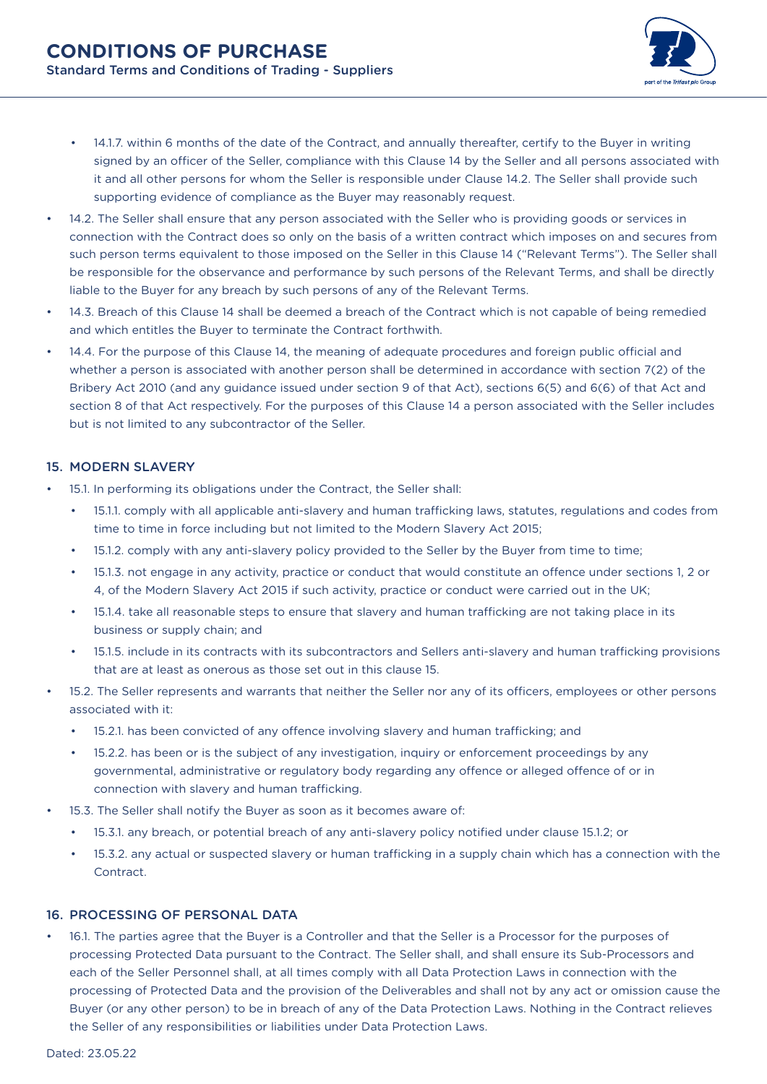

- 14.1.7. within 6 months of the date of the Contract, and annually thereafter, certify to the Buyer in writing signed by an officer of the Seller, compliance with this Clause 14 by the Seller and all persons associated with it and all other persons for whom the Seller is responsible under Clause 14.2. The Seller shall provide such supporting evidence of compliance as the Buyer may reasonably request.
- 14.2. The Seller shall ensure that any person associated with the Seller who is providing goods or services in connection with the Contract does so only on the basis of a written contract which imposes on and secures from such person terms equivalent to those imposed on the Seller in this Clause 14 ("Relevant Terms"). The Seller shall be responsible for the observance and performance by such persons of the Relevant Terms, and shall be directly liable to the Buyer for any breach by such persons of any of the Relevant Terms.
- 14.3. Breach of this Clause 14 shall be deemed a breach of the Contract which is not capable of being remedied and which entitles the Buyer to terminate the Contract forthwith.
- 14.4. For the purpose of this Clause 14, the meaning of adequate procedures and foreign public official and whether a person is associated with another person shall be determined in accordance with section 7(2) of the Bribery Act 2010 (and any guidance issued under section 9 of that Act), sections 6(5) and 6(6) of that Act and section 8 of that Act respectively. For the purposes of this Clause 14 a person associated with the Seller includes but is not limited to any subcontractor of the Seller.

## 15. MODERN SLAVERY

- 15.1. In performing its obligations under the Contract, the Seller shall:
	- 15.1.1. comply with all applicable anti-slavery and human trafficking laws, statutes, regulations and codes from time to time in force including but not limited to the Modern Slavery Act 2015;
	- 15.1.2. comply with any anti-slavery policy provided to the Seller by the Buyer from time to time;
	- 15.1.3. not engage in any activity, practice or conduct that would constitute an offence under sections 1, 2 or 4, of the Modern Slavery Act 2015 if such activity, practice or conduct were carried out in the UK;
	- 15.1.4. take all reasonable steps to ensure that slavery and human trafficking are not taking place in its business or supply chain; and
	- 15.1.5. include in its contracts with its subcontractors and Sellers anti-slavery and human trafficking provisions that are at least as onerous as those set out in this clause 15.
- 15.2. The Seller represents and warrants that neither the Seller nor any of its officers, employees or other persons associated with it:
	- 15.2.1. has been convicted of any offence involving slavery and human trafficking; and
	- 15.2.2. has been or is the subject of any investigation, inquiry or enforcement proceedings by any governmental, administrative or regulatory body regarding any offence or alleged offence of or in connection with slavery and human trafficking.
- 15.3. The Seller shall notify the Buyer as soon as it becomes aware of:
	- 15.3.1. any breach, or potential breach of any anti-slavery policy notified under clause 15.1.2; or
	- 15.3.2. any actual or suspected slavery or human trafficking in a supply chain which has a connection with the Contract.

## 16. PROCESSING OF PERSONAL DATA

• 16.1. The parties agree that the Buyer is a Controller and that the Seller is a Processor for the purposes of processing Protected Data pursuant to the Contract. The Seller shall, and shall ensure its Sub-Processors and each of the Seller Personnel shall, at all times comply with all Data Protection Laws in connection with the processing of Protected Data and the provision of the Deliverables and shall not by any act or omission cause the Buyer (or any other person) to be in breach of any of the Data Protection Laws. Nothing in the Contract relieves the Seller of any responsibilities or liabilities under Data Protection Laws.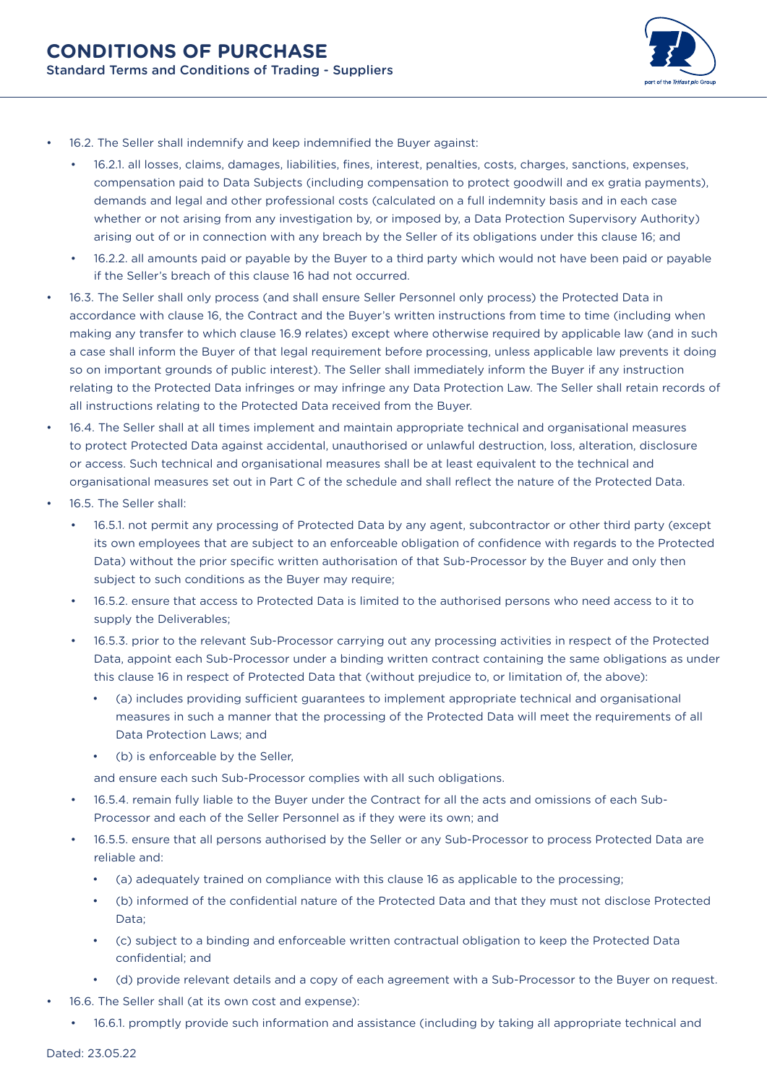

- 16.2. The Seller shall indemnify and keep indemnified the Buyer against:
	- 16.2.1. all losses, claims, damages, liabilities, fines, interest, penalties, costs, charges, sanctions, expenses, compensation paid to Data Subjects (including compensation to protect goodwill and ex gratia payments), demands and legal and other professional costs (calculated on a full indemnity basis and in each case whether or not arising from any investigation by, or imposed by, a Data Protection Supervisory Authority) arising out of or in connection with any breach by the Seller of its obligations under this clause 16; and
	- 16.2.2. all amounts paid or payable by the Buyer to a third party which would not have been paid or payable if the Seller's breach of this clause 16 had not occurred.
- 16.3. The Seller shall only process (and shall ensure Seller Personnel only process) the Protected Data in accordance with clause 16, the Contract and the Buyer's written instructions from time to time (including when making any transfer to which clause 16.9 relates) except where otherwise required by applicable law (and in such a case shall inform the Buyer of that legal requirement before processing, unless applicable law prevents it doing so on important grounds of public interest). The Seller shall immediately inform the Buyer if any instruction relating to the Protected Data infringes or may infringe any Data Protection Law. The Seller shall retain records of all instructions relating to the Protected Data received from the Buyer.
- 16.4. The Seller shall at all times implement and maintain appropriate technical and organisational measures to protect Protected Data against accidental, unauthorised or unlawful destruction, loss, alteration, disclosure or access. Such technical and organisational measures shall be at least equivalent to the technical and organisational measures set out in Part C of the schedule and shall reflect the nature of the Protected Data.
- 16.5. The Seller shall:
	- 16.5.1. not permit any processing of Protected Data by any agent, subcontractor or other third party (except its own employees that are subject to an enforceable obligation of confidence with regards to the Protected Data) without the prior specific written authorisation of that Sub-Processor by the Buyer and only then subject to such conditions as the Buyer may require;
	- 16.5.2. ensure that access to Protected Data is limited to the authorised persons who need access to it to supply the Deliverables;
	- 16.5.3. prior to the relevant Sub-Processor carrying out any processing activities in respect of the Protected Data, appoint each Sub-Processor under a binding written contract containing the same obligations as under this clause 16 in respect of Protected Data that (without prejudice to, or limitation of, the above):
		- (a) includes providing sufficient guarantees to implement appropriate technical and organisational measures in such a manner that the processing of the Protected Data will meet the requirements of all Data Protection Laws; and
		- (b) is enforceable by the Seller,

and ensure each such Sub-Processor complies with all such obligations.

- 16.5.4. remain fully liable to the Buyer under the Contract for all the acts and omissions of each Sub-Processor and each of the Seller Personnel as if they were its own; and
- 16.5.5. ensure that all persons authorised by the Seller or any Sub-Processor to process Protected Data are reliable and:
	- (a) adequately trained on compliance with this clause 16 as applicable to the processing;
	- (b) informed of the confidential nature of the Protected Data and that they must not disclose Protected Data;
	- (c) subject to a binding and enforceable written contractual obligation to keep the Protected Data confidential; and
	- (d) provide relevant details and a copy of each agreement with a Sub-Processor to the Buyer on request.
- 16.6. The Seller shall (at its own cost and expense):
	- 16.6.1. promptly provide such information and assistance (including by taking all appropriate technical and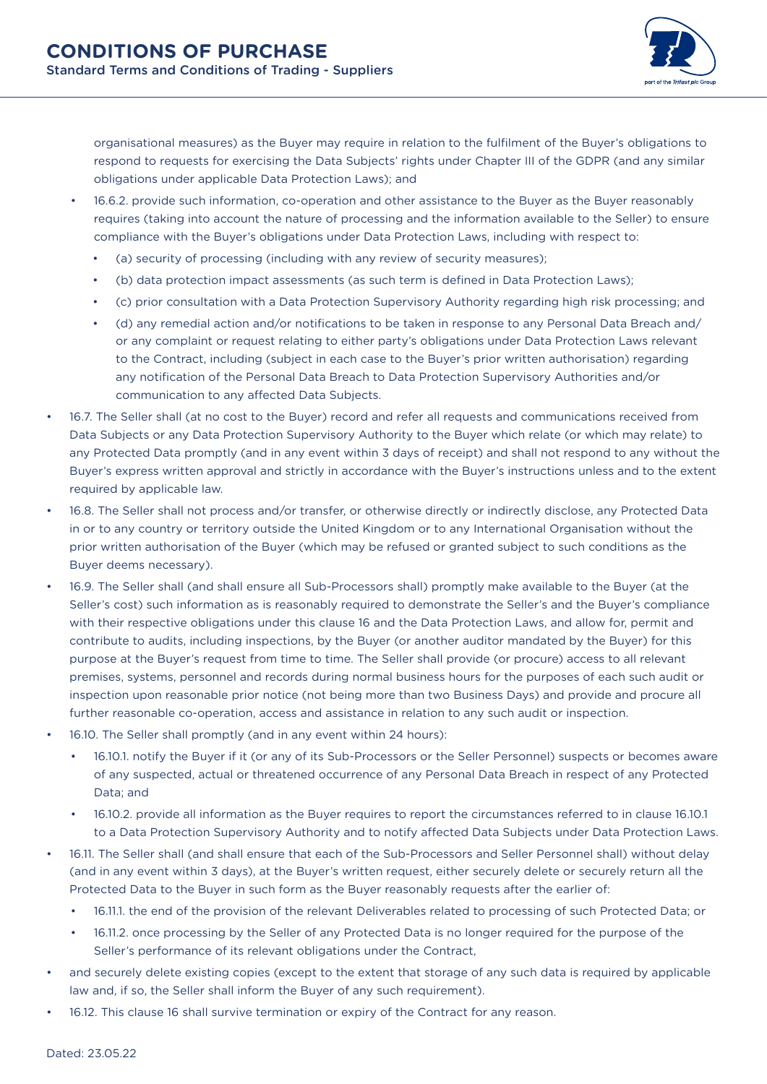

organisational measures) as the Buyer may require in relation to the fulfilment of the Buyer's obligations to respond to requests for exercising the Data Subjects' rights under Chapter III of the GDPR (and any similar obligations under applicable Data Protection Laws); and

- 16.6.2. provide such information, co-operation and other assistance to the Buyer as the Buyer reasonably requires (taking into account the nature of processing and the information available to the Seller) to ensure compliance with the Buyer's obligations under Data Protection Laws, including with respect to:
	- (a) security of processing (including with any review of security measures);
	- (b) data protection impact assessments (as such term is defined in Data Protection Laws);
	- (c) prior consultation with a Data Protection Supervisory Authority regarding high risk processing; and
	- (d) any remedial action and/or notifications to be taken in response to any Personal Data Breach and/ or any complaint or request relating to either party's obligations under Data Protection Laws relevant to the Contract, including (subject in each case to the Buyer's prior written authorisation) regarding any notification of the Personal Data Breach to Data Protection Supervisory Authorities and/or communication to any affected Data Subjects.
- 16.7. The Seller shall (at no cost to the Buyer) record and refer all requests and communications received from Data Subjects or any Data Protection Supervisory Authority to the Buyer which relate (or which may relate) to any Protected Data promptly (and in any event within 3 days of receipt) and shall not respond to any without the Buyer's express written approval and strictly in accordance with the Buyer's instructions unless and to the extent required by applicable law.
- 16.8. The Seller shall not process and/or transfer, or otherwise directly or indirectly disclose, any Protected Data in or to any country or territory outside the United Kingdom or to any International Organisation without the prior written authorisation of the Buyer (which may be refused or granted subject to such conditions as the Buyer deems necessary).
- 16.9. The Seller shall (and shall ensure all Sub-Processors shall) promptly make available to the Buyer (at the Seller's cost) such information as is reasonably required to demonstrate the Seller's and the Buyer's compliance with their respective obligations under this clause 16 and the Data Protection Laws, and allow for, permit and contribute to audits, including inspections, by the Buyer (or another auditor mandated by the Buyer) for this purpose at the Buyer's request from time to time. The Seller shall provide (or procure) access to all relevant premises, systems, personnel and records during normal business hours for the purposes of each such audit or inspection upon reasonable prior notice (not being more than two Business Days) and provide and procure all further reasonable co-operation, access and assistance in relation to any such audit or inspection.
- 16.10. The Seller shall promptly (and in any event within 24 hours):
	- 16.10.1. notify the Buyer if it (or any of its Sub-Processors or the Seller Personnel) suspects or becomes aware of any suspected, actual or threatened occurrence of any Personal Data Breach in respect of any Protected Data; and
	- 16.10.2. provide all information as the Buyer requires to report the circumstances referred to in clause 16.10.1 to a Data Protection Supervisory Authority and to notify affected Data Subjects under Data Protection Laws.
- 16.11. The Seller shall (and shall ensure that each of the Sub-Processors and Seller Personnel shall) without delay (and in any event within 3 days), at the Buyer's written request, either securely delete or securely return all the Protected Data to the Buyer in such form as the Buyer reasonably requests after the earlier of:
	- 16.11.1. the end of the provision of the relevant Deliverables related to processing of such Protected Data; or
	- 16.11.2. once processing by the Seller of any Protected Data is no longer required for the purpose of the Seller's performance of its relevant obligations under the Contract,
- and securely delete existing copies (except to the extent that storage of any such data is required by applicable law and, if so, the Seller shall inform the Buyer of any such requirement).
- 16.12. This clause 16 shall survive termination or expiry of the Contract for any reason.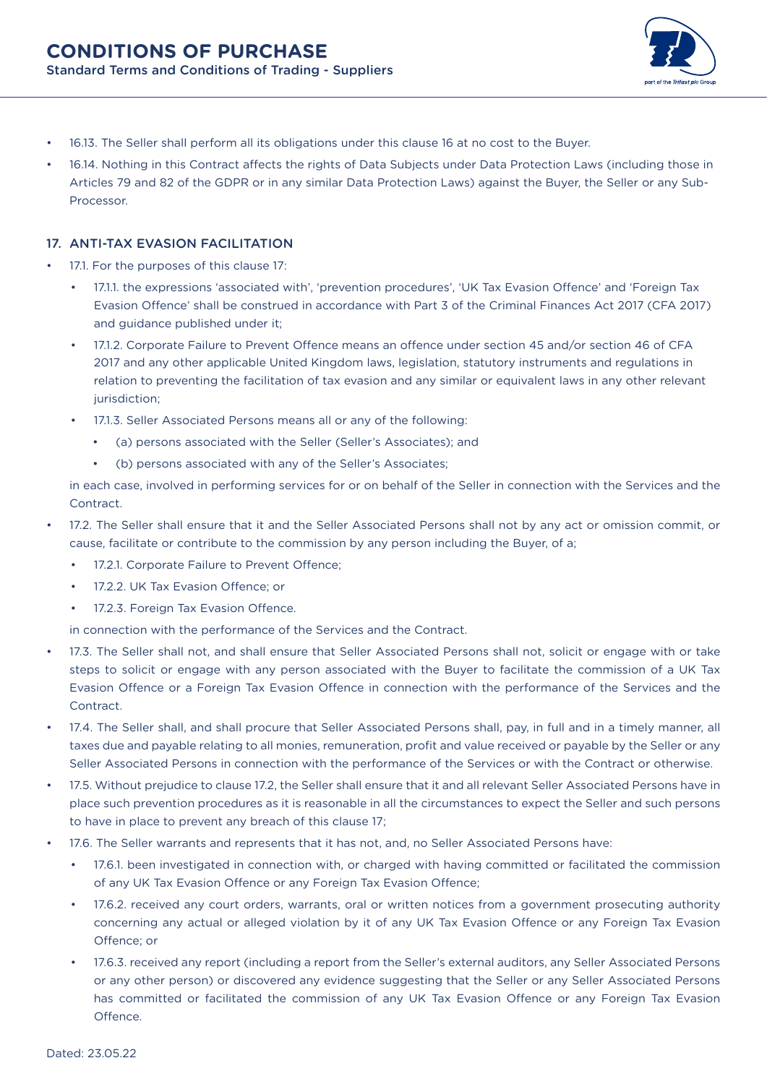

- 16.13. The Seller shall perform all its obligations under this clause 16 at no cost to the Buyer.
- 16.14. Nothing in this Contract affects the rights of Data Subjects under Data Protection Laws (including those in Articles 79 and 82 of the GDPR or in any similar Data Protection Laws) against the Buyer, the Seller or any Sub-Processor.

### 17. ANTI-TAX EVASION FACILITATION

- 17.1. For the purposes of this clause 17:
	- 17.1.1. the expressions 'associated with', 'prevention procedures', 'UK Tax Evasion Offence' and 'Foreign Tax Evasion Offence' shall be construed in accordance with Part 3 of the Criminal Finances Act 2017 (CFA 2017) and guidance published under it;
	- 17.1.2. Corporate Failure to Prevent Offence means an offence under section 45 and/or section 46 of CFA 2017 and any other applicable United Kingdom laws, legislation, statutory instruments and regulations in relation to preventing the facilitation of tax evasion and any similar or equivalent laws in any other relevant jurisdiction;
	- 17.1.3. Seller Associated Persons means all or any of the following:
		- (a) persons associated with the Seller (Seller's Associates); and
		- (b) persons associated with any of the Seller's Associates;

in each case, involved in performing services for or on behalf of the Seller in connection with the Services and the **Contract** 

- 17.2. The Seller shall ensure that it and the Seller Associated Persons shall not by any act or omission commit, or cause, facilitate or contribute to the commission by any person including the Buyer, of a;
	- 17.2.1. Corporate Failure to Prevent Offence;
	- 17.2.2. UK Tax Evasion Offence: or
	- 17.2.3. Foreign Tax Evasion Offence.

in connection with the performance of the Services and the Contract.

- 17.3. The Seller shall not, and shall ensure that Seller Associated Persons shall not, solicit or engage with or take steps to solicit or engage with any person associated with the Buyer to facilitate the commission of a UK Tax Evasion Offence or a Foreign Tax Evasion Offence in connection with the performance of the Services and the Contract.
- 17.4. The Seller shall, and shall procure that Seller Associated Persons shall, pay, in full and in a timely manner, all taxes due and payable relating to all monies, remuneration, profit and value received or payable by the Seller or any Seller Associated Persons in connection with the performance of the Services or with the Contract or otherwise.
- 17.5. Without prejudice to clause 17.2, the Seller shall ensure that it and all relevant Seller Associated Persons have in place such prevention procedures as it is reasonable in all the circumstances to expect the Seller and such persons to have in place to prevent any breach of this clause 17;
- 17.6. The Seller warrants and represents that it has not, and, no Seller Associated Persons have:
	- 17.6.1. been investigated in connection with, or charged with having committed or facilitated the commission of any UK Tax Evasion Offence or any Foreign Tax Evasion Offence;
	- 17.6.2. received any court orders, warrants, oral or written notices from a government prosecuting authority concerning any actual or alleged violation by it of any UK Tax Evasion Offence or any Foreign Tax Evasion Offence; or
	- 17.6.3. received any report (including a report from the Seller's external auditors, any Seller Associated Persons or any other person) or discovered any evidence suggesting that the Seller or any Seller Associated Persons has committed or facilitated the commission of any UK Tax Evasion Offence or any Foreign Tax Evasion Offence.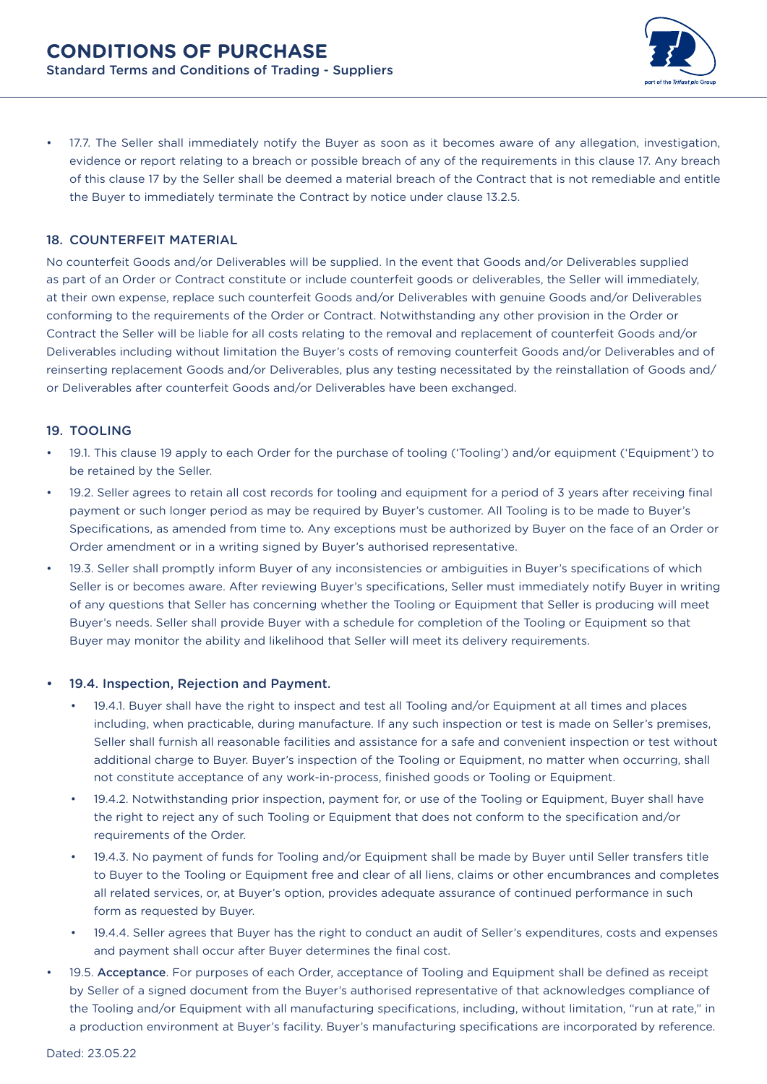

• 17.7. The Seller shall immediately notify the Buyer as soon as it becomes aware of any allegation, investigation, evidence or report relating to a breach or possible breach of any of the requirements in this clause 17. Any breach of this clause 17 by the Seller shall be deemed a material breach of the Contract that is not remediable and entitle the Buyer to immediately terminate the Contract by notice under clause 13.2.5.

#### 18. COUNTERFEIT MATERIAL

No counterfeit Goods and/or Deliverables will be supplied. In the event that Goods and/or Deliverables supplied as part of an Order or Contract constitute or include counterfeit goods or deliverables, the Seller will immediately, at their own expense, replace such counterfeit Goods and/or Deliverables with genuine Goods and/or Deliverables conforming to the requirements of the Order or Contract. Notwithstanding any other provision in the Order or Contract the Seller will be liable for all costs relating to the removal and replacement of counterfeit Goods and/or Deliverables including without limitation the Buyer's costs of removing counterfeit Goods and/or Deliverables and of reinserting replacement Goods and/or Deliverables, plus any testing necessitated by the reinstallation of Goods and/ or Deliverables after counterfeit Goods and/or Deliverables have been exchanged.

#### 19. TOOLING

- 19.1. This clause 19 apply to each Order for the purchase of tooling ('Tooling') and/or equipment ('Equipment') to be retained by the Seller.
- 19.2. Seller agrees to retain all cost records for tooling and equipment for a period of 3 years after receiving final payment or such longer period as may be required by Buyer's customer. All Tooling is to be made to Buyer's Specifications, as amended from time to. Any exceptions must be authorized by Buyer on the face of an Order or Order amendment or in a writing signed by Buyer's authorised representative.
- 19.3. Seller shall promptly inform Buyer of any inconsistencies or ambiguities in Buyer's specifications of which Seller is or becomes aware. After reviewing Buyer's specifications, Seller must immediately notify Buyer in writing of any questions that Seller has concerning whether the Tooling or Equipment that Seller is producing will meet Buyer's needs. Seller shall provide Buyer with a schedule for completion of the Tooling or Equipment so that Buyer may monitor the ability and likelihood that Seller will meet its delivery requirements.

#### 19.4. Inspection, Rejection and Payment.

- 19.4.1. Buyer shall have the right to inspect and test all Tooling and/or Equipment at all times and places including, when practicable, during manufacture. If any such inspection or test is made on Seller's premises, Seller shall furnish all reasonable facilities and assistance for a safe and convenient inspection or test without additional charge to Buyer. Buyer's inspection of the Tooling or Equipment, no matter when occurring, shall not constitute acceptance of any work-in-process, finished goods or Tooling or Equipment.
- 19.4.2. Notwithstanding prior inspection, payment for, or use of the Tooling or Equipment, Buyer shall have the right to reject any of such Tooling or Equipment that does not conform to the specification and/or requirements of the Order.
- 19.4.3. No payment of funds for Tooling and/or Equipment shall be made by Buyer until Seller transfers title to Buyer to the Tooling or Equipment free and clear of all liens, claims or other encumbrances and completes all related services, or, at Buyer's option, provides adequate assurance of continued performance in such form as requested by Buyer.
- 19.4.4. Seller agrees that Buyer has the right to conduct an audit of Seller's expenditures, costs and expenses and payment shall occur after Buyer determines the final cost.
- 19.5. Acceptance. For purposes of each Order, acceptance of Tooling and Equipment shall be defined as receipt by Seller of a signed document from the Buyer's authorised representative of that acknowledges compliance of the Tooling and/or Equipment with all manufacturing specifications, including, without limitation, "run at rate," in a production environment at Buyer's facility. Buyer's manufacturing specifications are incorporated by reference.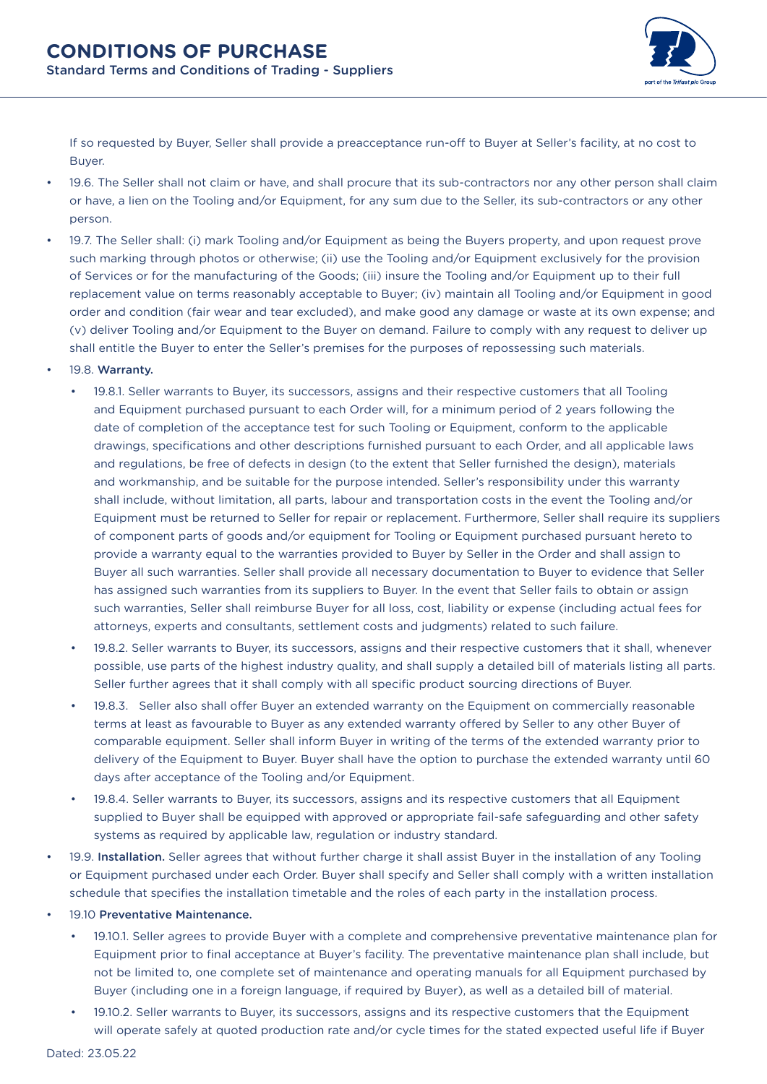

If so requested by Buyer, Seller shall provide a preacceptance run-off to Buyer at Seller's facility, at no cost to Buyer.

- 19.6. The Seller shall not claim or have, and shall procure that its sub-contractors nor any other person shall claim or have, a lien on the Tooling and/or Equipment, for any sum due to the Seller, its sub-contractors or any other person.
- 19.7. The Seller shall: (i) mark Tooling and/or Equipment as being the Buyers property, and upon request prove such marking through photos or otherwise; (ii) use the Tooling and/or Equipment exclusively for the provision of Services or for the manufacturing of the Goods; (iii) insure the Tooling and/or Equipment up to their full replacement value on terms reasonably acceptable to Buyer; (iv) maintain all Tooling and/or Equipment in good order and condition (fair wear and tear excluded), and make good any damage or waste at its own expense; and (v) deliver Tooling and/or Equipment to the Buyer on demand. Failure to comply with any request to deliver up shall entitle the Buyer to enter the Seller's premises for the purposes of repossessing such materials.
- 19.8. Warranty.
	- 19.8.1. Seller warrants to Buyer, its successors, assigns and their respective customers that all Tooling and Equipment purchased pursuant to each Order will, for a minimum period of 2 years following the date of completion of the acceptance test for such Tooling or Equipment, conform to the applicable drawings, specifications and other descriptions furnished pursuant to each Order, and all applicable laws and regulations, be free of defects in design (to the extent that Seller furnished the design), materials and workmanship, and be suitable for the purpose intended. Seller's responsibility under this warranty shall include, without limitation, all parts, labour and transportation costs in the event the Tooling and/or Equipment must be returned to Seller for repair or replacement. Furthermore, Seller shall require its suppliers of component parts of goods and/or equipment for Tooling or Equipment purchased pursuant hereto to provide a warranty equal to the warranties provided to Buyer by Seller in the Order and shall assign to Buyer all such warranties. Seller shall provide all necessary documentation to Buyer to evidence that Seller has assigned such warranties from its suppliers to Buyer. In the event that Seller fails to obtain or assign such warranties, Seller shall reimburse Buyer for all loss, cost, liability or expense (including actual fees for attorneys, experts and consultants, settlement costs and judgments) related to such failure.
	- 19.8.2. Seller warrants to Buyer, its successors, assigns and their respective customers that it shall, whenever possible, use parts of the highest industry quality, and shall supply a detailed bill of materials listing all parts. Seller further agrees that it shall comply with all specific product sourcing directions of Buyer.
	- 19.8.3. Seller also shall offer Buyer an extended warranty on the Equipment on commercially reasonable terms at least as favourable to Buyer as any extended warranty offered by Seller to any other Buyer of comparable equipment. Seller shall inform Buyer in writing of the terms of the extended warranty prior to delivery of the Equipment to Buyer. Buyer shall have the option to purchase the extended warranty until 60 days after acceptance of the Tooling and/or Equipment.
	- 19.8.4. Seller warrants to Buyer, its successors, assigns and its respective customers that all Equipment supplied to Buyer shall be equipped with approved or appropriate fail-safe safeguarding and other safety systems as required by applicable law, regulation or industry standard.
- 19.9. Installation. Seller agrees that without further charge it shall assist Buyer in the installation of any Tooling or Equipment purchased under each Order. Buyer shall specify and Seller shall comply with a written installation schedule that specifies the installation timetable and the roles of each party in the installation process.
- 19.10 Preventative Maintenance.
	- 19.10.1. Seller agrees to provide Buyer with a complete and comprehensive preventative maintenance plan for Equipment prior to final acceptance at Buyer's facility. The preventative maintenance plan shall include, but not be limited to, one complete set of maintenance and operating manuals for all Equipment purchased by Buyer (including one in a foreign language, if required by Buyer), as well as a detailed bill of material.
	- 19.10.2. Seller warrants to Buyer, its successors, assigns and its respective customers that the Equipment will operate safely at quoted production rate and/or cycle times for the stated expected useful life if Buyer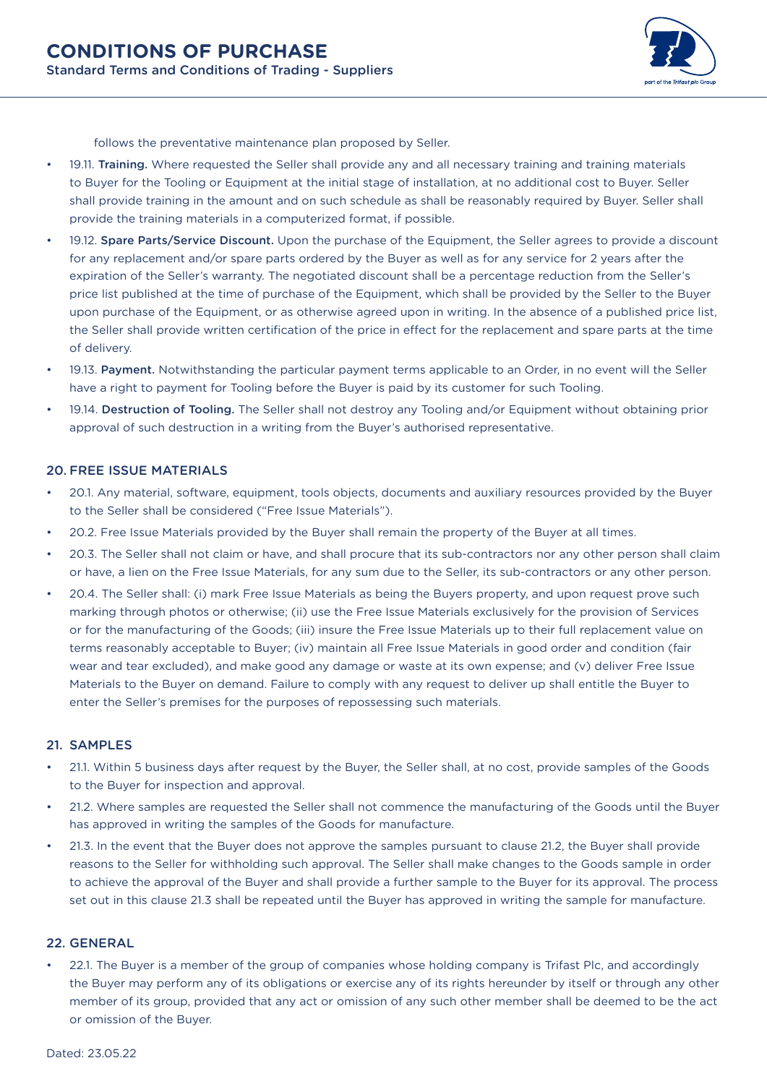

follows the preventative maintenance plan proposed by Seller.

- 19.11. Training. Where requested the Seller shall provide any and all necessary training and training materials to Buyer for the Tooling or Equipment at the initial stage of installation, at no additional cost to Buyer. Seller shall provide training in the amount and on such schedule as shall be reasonably required by Buyer. Seller shall provide the training materials in a computerized format, if possible.
- 19.12. Spare Parts/Service Discount. Upon the purchase of the Equipment, the Seller agrees to provide a discount for any replacement and/or spare parts ordered by the Buyer as well as for any service for 2 years after the expiration of the Seller's warranty. The negotiated discount shall be a percentage reduction from the Seller's price list published at the time of purchase of the Equipment, which shall be provided by the Seller to the Buyer upon purchase of the Equipment, or as otherwise agreed upon in writing. In the absence of a published price list, the Seller shall provide written certification of the price in effect for the replacement and spare parts at the time of delivery.
- 19.13. Payment. Notwithstanding the particular payment terms applicable to an Order, in no event will the Seller have a right to payment for Tooling before the Buyer is paid by its customer for such Tooling.
- 19.14. Destruction of Tooling. The Seller shall not destroy any Tooling and/or Equipment without obtaining prior approval of such destruction in a writing from the Buyer's authorised representative.

#### 20. FREE ISSUE MATERIALS

- 20.1. Any material, software, equipment, tools objects, documents and auxiliary resources provided by the Buyer to the Seller shall be considered ("Free Issue Materials").
- 20.2. Free Issue Materials provided by the Buyer shall remain the property of the Buyer at all times.
- 20.3. The Seller shall not claim or have, and shall procure that its sub-contractors nor any other person shall claim or have, a lien on the Free Issue Materials, for any sum due to the Seller, its sub-contractors or any other person.
- 20.4. The Seller shall: (i) mark Free Issue Materials as being the Buyers property, and upon request prove such marking through photos or otherwise; (ii) use the Free Issue Materials exclusively for the provision of Services or for the manufacturing of the Goods; (iii) insure the Free Issue Materials up to their full replacement value on terms reasonably acceptable to Buyer; (iv) maintain all Free Issue Materials in good order and condition (fair wear and tear excluded), and make good any damage or waste at its own expense; and (v) deliver Free Issue Materials to the Buyer on demand. Failure to comply with any request to deliver up shall entitle the Buyer to enter the Seller's premises for the purposes of repossessing such materials.

#### 21. SAMPLES

- 21.1. Within 5 business days after request by the Buyer, the Seller shall, at no cost, provide samples of the Goods to the Buyer for inspection and approval.
- 21.2. Where samples are requested the Seller shall not commence the manufacturing of the Goods until the Buyer has approved in writing the samples of the Goods for manufacture.
- 21.3. In the event that the Buyer does not approve the samples pursuant to clause 21.2, the Buyer shall provide reasons to the Seller for withholding such approval. The Seller shall make changes to the Goods sample in order to achieve the approval of the Buyer and shall provide a further sample to the Buyer for its approval. The process set out in this clause 21.3 shall be repeated until the Buyer has approved in writing the sample for manufacture.

#### 22. GENERAL

• 22.1. The Buyer is a member of the group of companies whose holding company is Trifast Plc, and accordingly the Buyer may perform any of its obligations or exercise any of its rights hereunder by itself or through any other member of its group, provided that any act or omission of any such other member shall be deemed to be the act or omission of the Buyer.